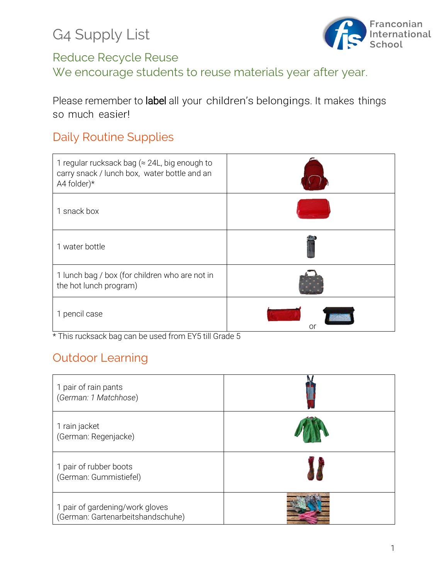G4 Supply List



## Reduce Recycle Reuse

We encourage students to reuse materials year after year.

Please remember to label all your children's belongings. It makes things so much easier!

#### Daily Routine Supplies

| 1 regular rucksack bag ( $\approx$ 24L, big enough to<br>carry snack / lunch box, water bottle and an<br>A4 folder)* |    |
|----------------------------------------------------------------------------------------------------------------------|----|
| 1 snack box                                                                                                          |    |
| 1 water bottle                                                                                                       |    |
| 1 lunch bag / box (for children who are not in<br>the hot lunch program)                                             |    |
| 1 pencil case                                                                                                        | Ol |

\* This rucksack bag can be used from EY5 till Grade 5

## Outdoor Learning

| 1 pair of rain pants<br>(German: 1 Matchhose)                        |  |
|----------------------------------------------------------------------|--|
| 1 rain jacket<br>(German: Regenjacke)                                |  |
| 1 pair of rubber boots<br>(German: Gummistiefel)                     |  |
| 1 pair of gardening/work gloves<br>(German: Gartenarbeitshandschuhe) |  |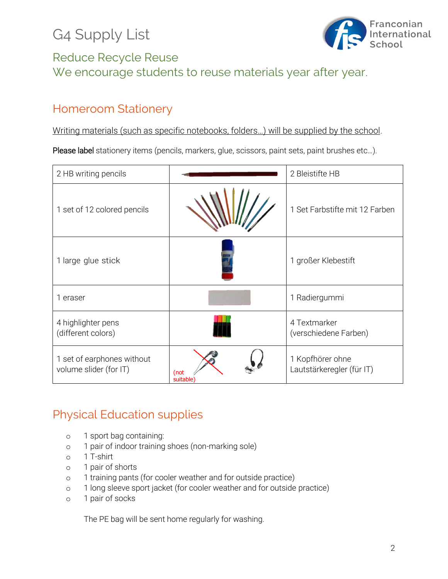# G4 Supply List



### Reduce Recycle Reuse We encourage students to reuse materials year after year.

## Homeroom Stationery

Writing materials (such as specific notebooks, folders…) will be supplied by the school.

Please label stationery items (pencils, markers, glue, scissors, paint sets, paint brushes etc...).

| 2 HB writing pencils                                 |                  | 2 Bleistifte HB                               |
|------------------------------------------------------|------------------|-----------------------------------------------|
| 1 set of 12 colored pencils                          |                  | 1 Set Farbstifte mit 12 Farben                |
| 1 large glue stick                                   |                  | 1 großer Klebestift                           |
| 1 eraser                                             |                  | 1 Radiergummi                                 |
| 4 highlighter pens<br>(different colors)             |                  | 4 Textmarker<br>(verschiedene Farben)         |
| 1 set of earphones without<br>volume slider (for IT) | (not<br>suitable | 1 Kopfhörer ohne<br>Lautstärkeregler (für IT) |

## Physical Education supplies

- o 1 sport bag containing:
- o 1 pair of indoor training shoes (non-marking sole)
- o 1 T-shirt
- o 1 pair of shorts
- o 1 training pants (for cooler weather and for outside practice)
- o 1 long sleeve sport jacket (for cooler weather and for outside practice)
- o 1 pair of socks

The PE bag will be sent home regularly for washing.